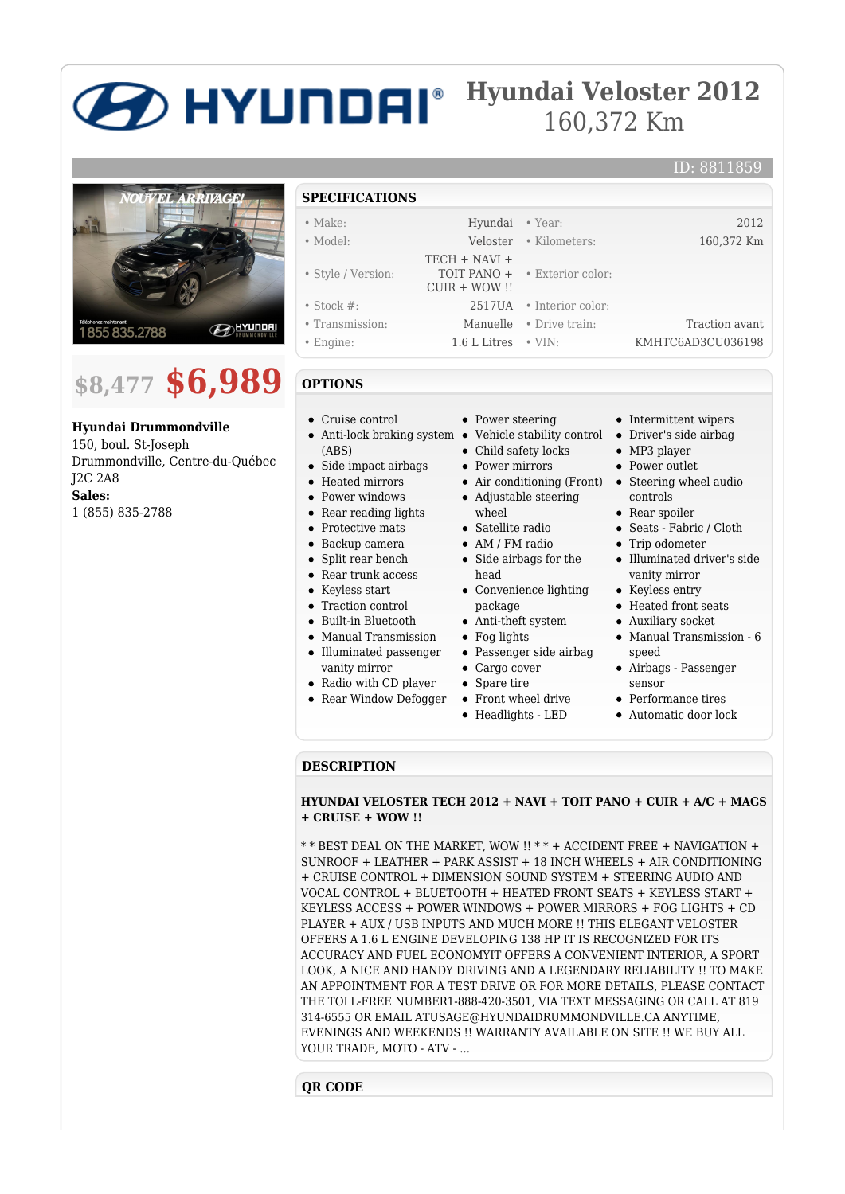# **Hyundai Veloster 2012** 160,372 Km



# **\$8,477 \$6,989**

**Hyundai Drummondville**

150, boul. St-Joseph Drummondville, Centre-du-Québec J2C 2A8 **Sales:** 1 (855) 835-2788

## **SPECIFICATIONS**

| $\bullet$ Make:    | Hyundai • Year:           |                                      | 2012              |
|--------------------|---------------------------|--------------------------------------|-------------------|
| $\bullet$ Model:   |                           | Veloster • Kilometers:               | 160,372 Km        |
|                    | $TECH + NAVI +$           |                                      |                   |
| • Style / Version: | $CUIR + WOW$ !!           | <b>TOIT PANO + • Exterior color:</b> |                   |
| $\bullet$ Stock #: |                           | 2517UA • Interior color:             |                   |
| • Transmission:    |                           | <b>Manuelle</b> • Drive train:       | Traction avant    |
| • Engine:          | 1.6 L Litres $\cdot$ VIN: |                                      | KMHTC6AD3CU036198 |

# **OPTIONS**

- Cruise control
- (ABS)
- Side impact airbags
- Heated mirrors
- Power windows
- Rear reading lights
- Protective mats
- Backup camera
- Split rear bench
- Rear trunk access
- Keyless start
- Traction control
- Built-in Bluetooth
- Manual Transmission
- Illuminated passenger vanity mirror
- Radio with CD player
- Rear Window Defogger
- Power steering
- Anti-lock braking system Vehicle stability control
	- Child safety locks
	- Power mirrors
	- Air conditioning (Front) Steering wheel audio
	- Adjustable steering wheel
	- Satellite radio
	- AM / FM radio
	- Side airbags for the
	- head Convenience lighting
	- package
	- Anti-theft system
	- Fog lights
	- Passenger side airbag
	- Cargo cover
	- Spare tire
	- Front wheel drive
	- Headlights LED

• Intermittent wipers

ID: 8811859

- Driver's side airbag
- MP3 player
- Power outlet
- controls
- Rear spoiler
- Seats Fabric / Cloth
- Trip odometer
- Illuminated driver's side vanity mirror
- Keyless entry
- Heated front seats
- Auxiliary socket
- Manual Transmission 6 speed
- Airbags Passenger sensor
- Performance tires
- Automatic door lock

### **DESCRIPTION**

#### **HYUNDAI VELOSTER TECH 2012 + NAVI + TOIT PANO + CUIR + A/C + MAGS + CRUISE + WOW !!**

\* \* BEST DEAL ON THE MARKET, WOW !! \* \* + ACCIDENT FREE + NAVIGATION + SUNROOF + LEATHER + PARK ASSIST + 18 INCH WHEELS + AIR CONDITIONING + CRUISE CONTROL + DIMENSION SOUND SYSTEM + STEERING AUDIO AND VOCAL CONTROL + BLUETOOTH + HEATED FRONT SEATS + KEYLESS START + KEYLESS ACCESS + POWER WINDOWS + POWER MIRRORS + FOG LIGHTS + CD PLAYER + AUX / USB INPUTS AND MUCH MORE !! THIS ELEGANT VELOSTER OFFERS A 1.6 L ENGINE DEVELOPING 138 HP IT IS RECOGNIZED FOR ITS ACCURACY AND FUEL ECONOMYIT OFFERS A CONVENIENT INTERIOR, A SPORT LOOK, A NICE AND HANDY DRIVING AND A LEGENDARY RELIABILITY !! TO MAKE AN APPOINTMENT FOR A TEST DRIVE OR FOR MORE DETAILS, PLEASE CONTACT THE TOLL-FREE NUMBER1-888-420-3501, VIA TEXT MESSAGING OR CALL AT 819 314-6555 OR EMAIL ATUSAGE@HYUNDAIDRUMMONDVILLE.CA ANYTIME, EVENINGS AND WEEKENDS !! WARRANTY AVAILABLE ON SITE !! WE BUY ALL YOUR TRADE, MOTO - ATV - ...

### **QR CODE**